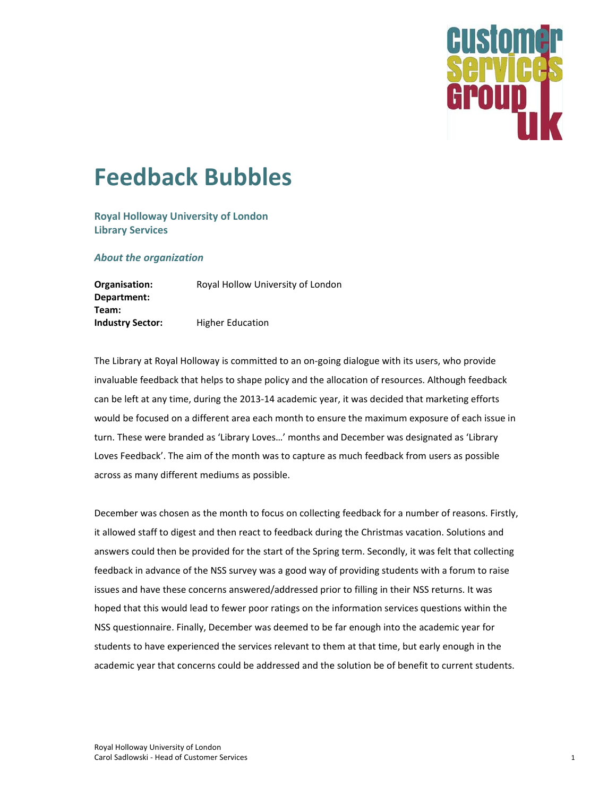

## **Feedback Bubbles**

**Royal Holloway University of London Library Services** 

**About the organization** 

Organisation: Royal Hollow University of London Department: Team: **Industry Sector: Higher Education** 

The Library at Royal Holloway is committed to an on-going dialogue with its users, who provide invaluable feedback that helps to shape policy and the allocation of resources. Although feedback can be left at any time, during the 2013-14 academic year, it was decided that marketing efforts would be focused on a different area each month to ensure the maximum exposure of each issue in turn. These were branded as 'Library Loves...' months and December was designated as 'Library Loves Feedback'. The aim of the month was to capture as much feedback from users as possible across as many different mediums as possible.

December was chosen as the month to focus on collecting feedback for a number of reasons. Firstly, it allowed staff to digest and then react to feedback during the Christmas vacation. Solutions and answers could then be provided for the start of the Spring term. Secondly, it was felt that collecting feedback in advance of the NSS survey was a good way of providing students with a forum to raise issues and have these concerns answered/addressed prior to filling in their NSS returns. It was hoped that this would lead to fewer poor ratings on the information services questions within the NSS questionnaire. Finally, December was deemed to be far enough into the academic year for students to have experienced the services relevant to them at that time, but early enough in the academic year that concerns could be addressed and the solution be of benefit to current students.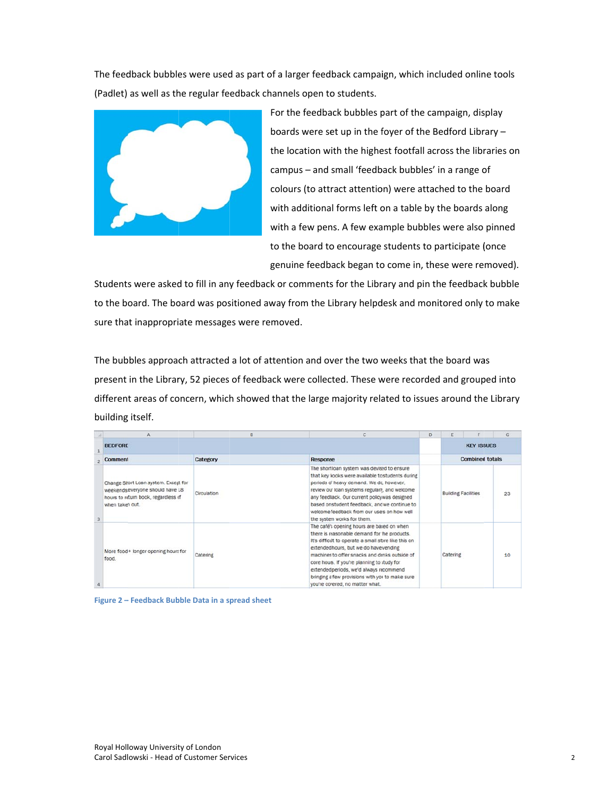The feedback bubbles were used as part of a larger feedback campaign, which included online tools (Padlet) as well as the regular feedback channels open to students.



For the feedback bubbles part of the campaign, display boards were set up in the foyer of the Bedford Library the location with the highest footfall across the libraries on campus - and small 'feedback bubbles' in a range of colours (to attract attention) were attached to the board with additional forms left on a table by the boards along with a few pens. A few example bubbles were also pinned to the board to encourage students to participate (once genuine feedback began to come in, these were removed).

Students were asked to fill in any feedback or comments for the Library and pin the feedback bubble to the board. The board was positioned away from the Library helpdesk and monitored only to make sure that inappropriate messages were removed.

The bubbles approach attracted a lot of attention and over the two weeks that the board was present in the Library, 52 pieces of feedback were collected. These were recorded and grouped into different areas of concern, which showed that the large majority related to issues around the Library building g itself.

|  |                                                                                                                                    | B           |                                                                                                                                                                                                                                                                                                                                                                                                                                | D |                            |  | G  |
|--|------------------------------------------------------------------------------------------------------------------------------------|-------------|--------------------------------------------------------------------------------------------------------------------------------------------------------------------------------------------------------------------------------------------------------------------------------------------------------------------------------------------------------------------------------------------------------------------------------|---|----------------------------|--|----|
|  | <b>BEDFORD</b>                                                                                                                     |             |                                                                                                                                                                                                                                                                                                                                                                                                                                |   | <b>KEY ISSUES</b>          |  |    |
|  | Comment                                                                                                                            | Category    | <b>Response</b>                                                                                                                                                                                                                                                                                                                                                                                                                |   | <b>Combined totals</b>     |  |    |
|  | Change Short Loan system. Except for<br>weekends everyone should have 18<br>hours to return book, regardless of<br>when taken out. | Circulation | The short loan system was devised to ensure<br>that key books were available to students during<br>periods of heavy demand. We dc, however,<br>review our loan systems regularly, and welcome<br>any feedback. Our current policy was designed<br>based on student feedback, and we continue to<br>welcome feedback from our users on how well<br>the system works for them.                                                   |   | <b>Building Facilities</b> |  | 23 |
|  | More food + longer opening hours for<br>food.                                                                                      | Catering    | The café's opening hours are based on when<br>there is reasonable demand for the products.<br>It's difficult to operate a small store like this on<br>extended hours, but we do have vending<br>machines to offer snacks and drinks outside of<br>core hours. If you're planning to study for<br>extended periods, we'd always recommend<br>bringing a few provisions with you to make sure<br>you're covered, no matter what. |   | Catering                   |  | 10 |